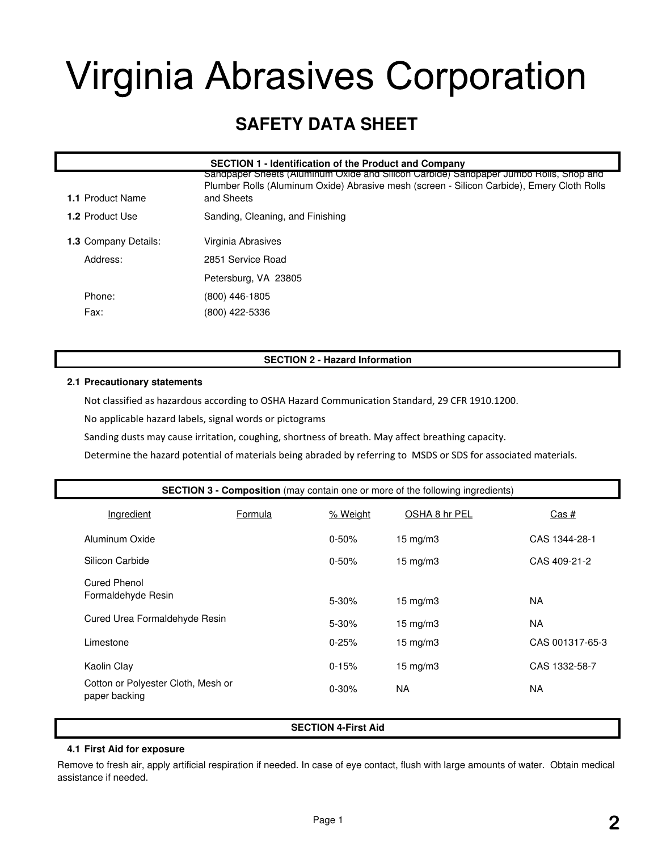# **Virginia Abrasives Corporation**

## **SAFETY DATA SHEET**

| <b>SECTION 1 - Identification of the Product and Company</b> |                                                                                                                                                                                                   |  |  |
|--------------------------------------------------------------|---------------------------------------------------------------------------------------------------------------------------------------------------------------------------------------------------|--|--|
| <b>1.1 Product Name</b>                                      | Sandpaper Sheets (Aluminum Oxide and Silicon Carbide) Sandpaper Jumbo Rolls, Shop and<br>Plumber Rolls (Aluminum Oxide) Abrasive mesh (screen - Silicon Carbide), Emery Cloth Rolls<br>and Sheets |  |  |
| <b>1.2 Product Use</b>                                       | Sanding, Cleaning, and Finishing                                                                                                                                                                  |  |  |
| <b>1.3 Company Details:</b>                                  | Virginia Abrasives                                                                                                                                                                                |  |  |
| Address:                                                     | 2851 Service Road                                                                                                                                                                                 |  |  |
|                                                              | Petersburg, VA 23805                                                                                                                                                                              |  |  |
| Phone:                                                       | (800) 446-1805                                                                                                                                                                                    |  |  |
| Fax:                                                         | (800) 422-5336                                                                                                                                                                                    |  |  |

#### **SECTION 2 - Hazard Information**

#### **2.1 Precautionary statements**

Not classified as hazardous according to OSHA Hazard Communication Standard, 29 CFR 1910.1200.

No applicable hazard labels, signal words or pictograms

Sanding dusts may cause irritation, coughing, shortness of breath. May affect breathing capacity.

Determine the hazard potential of materials being abraded by referring to MSDS or SDS for associated materials.

| <b>SECTION 3 - Composition</b> (may contain one or more of the following ingredients) |         |           |                   |                 |
|---------------------------------------------------------------------------------------|---------|-----------|-------------------|-----------------|
| Ingredient                                                                            | Formula | % Weight  | OSHA 8 hr PEL     | <u>Cas #</u>    |
| Aluminum Oxide                                                                        |         | $0 - 50%$ | $15 \text{ mg/m}$ | CAS 1344-28-1   |
| Silicon Carbide                                                                       |         | $0 - 50%$ | $15 \text{ mg/m}$ | CAS 409-21-2    |
| Cured Phenol<br>Formaldehyde Resin                                                    |         | $5 - 30%$ | $15 \text{ mg/m}$ | NA.             |
| Cured Urea Formaldehyde Resin                                                         |         | $5 - 30%$ | $15 \text{ mg/m}$ | NA.             |
| Limestone                                                                             |         | $0 - 25%$ | $15 \text{ mg/m}$ | CAS 001317-65-3 |
| Kaolin Clay                                                                           |         | $0 - 15%$ | $15 \text{ mg/m}$ | CAS 1332-58-7   |
| Cotton or Polyester Cloth, Mesh or<br>paper backing                                   |         | $0 - 30%$ | <b>NA</b>         | NA              |

#### **SECTION 4-First Aid**

#### **4.1 First Aid for exposure**

Remove to fresh air, apply artificial respiration if needed. In case of eye contact, flush with large amounts of water. Obtain medical assistance if needed.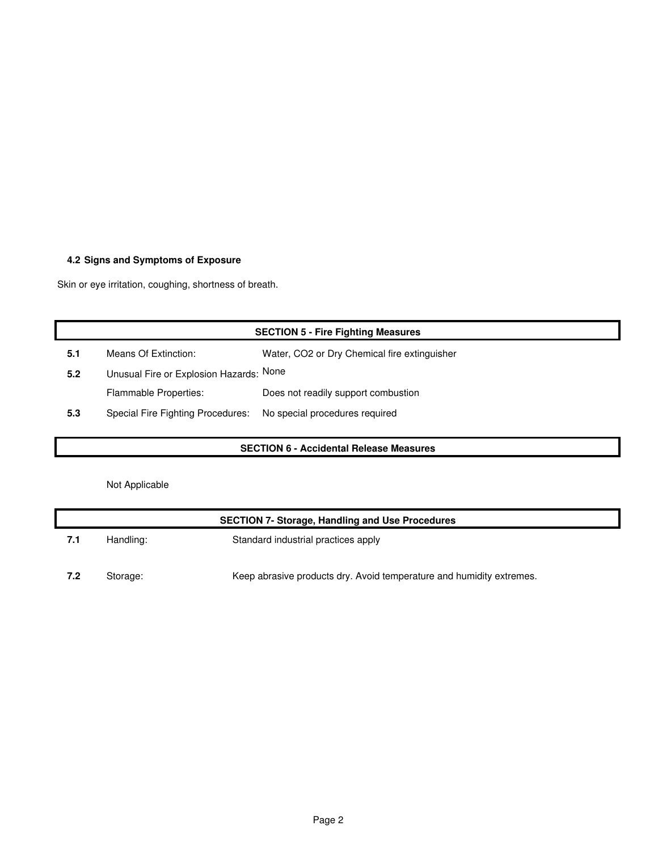### **4.2 Signs and Symptoms of Exposure**

Skin or eye irritation, coughing, shortness of breath.

| <b>SECTION 5 - Fire Fighting Measures</b> |                                         |                                              |  |
|-------------------------------------------|-----------------------------------------|----------------------------------------------|--|
| 5.1                                       | Means Of Extinction:                    | Water, CO2 or Dry Chemical fire extinguisher |  |
| 5.2                                       | Unusual Fire or Explosion Hazards: None |                                              |  |
|                                           | <b>Flammable Properties:</b>            | Does not readily support combustion          |  |
| 5.3                                       | Special Fire Fighting Procedures:       | No special procedures required               |  |
|                                           |                                         |                                              |  |

#### **SECTION 6 - Accidental Release Measures**

Not Applicable

| <b>SECTION 7- Storage, Handling and Use Procedures</b> |           |                                                                      |  |
|--------------------------------------------------------|-----------|----------------------------------------------------------------------|--|
| 7.1                                                    | Handling: | Standard industrial practices apply                                  |  |
| 7.2                                                    | Storage:  | Keep abrasive products dry. Avoid temperature and humidity extremes. |  |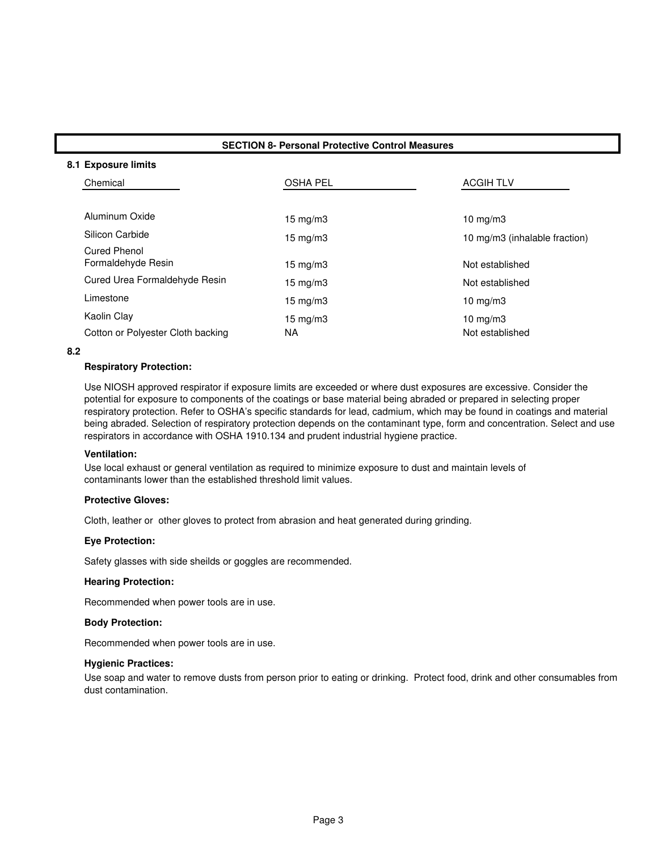#### **SECTION 8- Personal Protective Control Measures**

#### **8.1 Exposure limits**

| Chemical                          | <b>OSHA PEL</b>   | <b>ACGIH TLV</b>              |
|-----------------------------------|-------------------|-------------------------------|
|                                   |                   |                               |
| Aluminum Oxide                    | $15 \text{ mg/m}$ | $10 \text{ mg/m}$             |
| Silicon Carbide                   | 15 mg/m $3$       | 10 mg/m3 (inhalable fraction) |
| Cured Phenol                      |                   |                               |
| Formaldehyde Resin                | 15 mg/m $3$       | Not established               |
| Cured Urea Formaldehyde Resin     | 15 mg/m $3$       | Not established               |
| Limestone                         | 15 mg/m $3$       | $10 \text{ mg}/\text{m}$      |
| Kaolin Clay                       | 15 mg/m $3$       | 10 $mg/m3$                    |
| Cotton or Polyester Cloth backing | NA                | Not established               |

#### **8.2**

#### **Respiratory Protection:**

Use NIOSH approved respirator if exposure limits are exceeded or where dust exposures are excessive. Consider the potential for exposure to components of the coatings or base material being abraded or prepared in selecting proper respiratory protection. Refer to OSHA's specific standards for lead, cadmium, which may be found in coatings and material being abraded. Selection of respiratory protection depends on the contaminant type, form and concentration. Select and use respirators in accordance with OSHA 1910.134 and prudent industrial hygiene practice.

#### **Ventilation:**

Use local exhaust or general ventilation as required to minimize exposure to dust and maintain levels of contaminants lower than the established threshold limit values.

#### **Protective Gloves:**

Cloth, leather or other gloves to protect from abrasion and heat generated during grinding.

#### **Eye Protection:**

Safety glasses with side sheilds or goggles are recommended.

#### **Hearing Protection:**

Recommended when power tools are in use.

#### **Body Protection:**

Recommended when power tools are in use.

#### **Hygienic Practices:**

Use soap and water to remove dusts from person prior to eating or drinking. Protect food, drink and other consumables from dust contamination.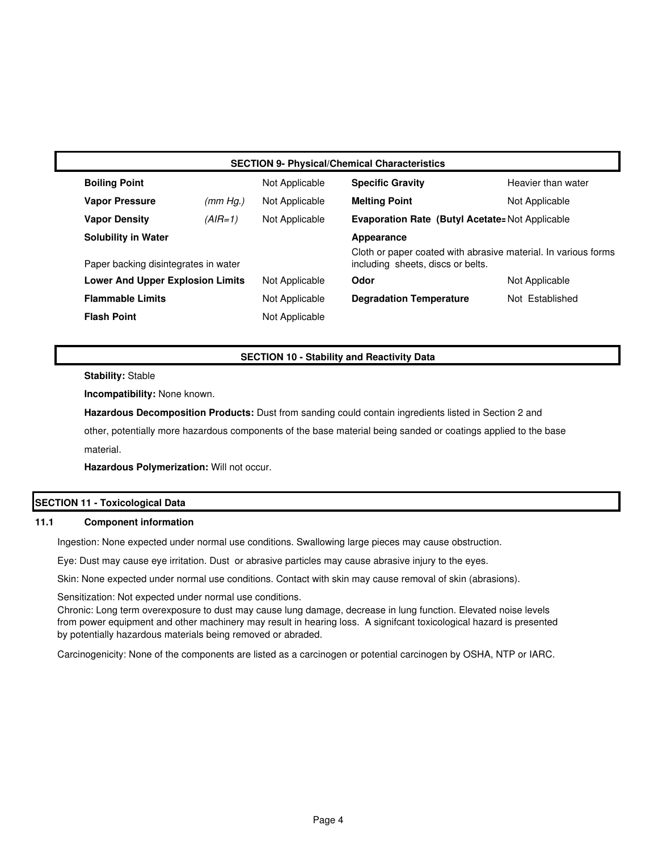|                                         | <b>SECTION 9- Physical/Chemical Characteristics</b> |                |                                                                                                     |                    |  |
|-----------------------------------------|-----------------------------------------------------|----------------|-----------------------------------------------------------------------------------------------------|--------------------|--|
| <b>Boiling Point</b>                    |                                                     | Not Applicable | <b>Specific Gravity</b>                                                                             | Heavier than water |  |
| <b>Vapor Pressure</b>                   | (mm Hg.)                                            | Not Applicable | <b>Melting Point</b>                                                                                | Not Applicable     |  |
| <b>Vapor Density</b>                    | $(AIR=1)$                                           | Not Applicable | <b>Evaporation Rate (Butyl Acetate: Not Applicable</b>                                              |                    |  |
| <b>Solubility in Water</b>              |                                                     |                | Appearance                                                                                          |                    |  |
|                                         | Paper backing disintegrates in water                |                | Cloth or paper coated with abrasive material. In various forms<br>including sheets, discs or belts. |                    |  |
| <b>Lower And Upper Explosion Limits</b> |                                                     | Not Applicable | Odor                                                                                                | Not Applicable     |  |
| <b>Flammable Limits</b>                 |                                                     | Not Applicable | <b>Degradation Temperature</b>                                                                      | Not Established    |  |
| <b>Flash Point</b>                      |                                                     | Not Applicable |                                                                                                     |                    |  |

#### **SECTION 10 - Stability and Reactivity Data**

**Stability:** Stable

**Incompatibility:** None known.

**Hazardous Decomposition Products:** Dust from sanding could contain ingredients listed in Section 2 and

material. other, potentially more hazardous components of the base material being sanded or coatings applied to the base

**Hazardous Polymerization:** Will not occur.

#### **SECTION 11 - Toxicological Data**

#### **Component information 11.1**

Ingestion: None expected under normal use conditions. Swallowing large pieces may cause obstruction.

Eye: Dust may cause eye irritation. Dust or abrasive particles may cause abrasive injury to the eyes.

Skin: None expected under normal use conditions. Contact with skin may cause removal of skin (abrasions).

Sensitization: Not expected under normal use conditions.

Chronic: Long term overexposure to dust may cause lung damage, decrease in lung function. Elevated noise levels from power equipment and other machinery may result in hearing loss. A signifcant toxicological hazard is presented by potentially hazardous materials being removed or abraded.

Carcinogenicity: None of the components are listed as a carcinogen or potential carcinogen by OSHA, NTP or IARC.